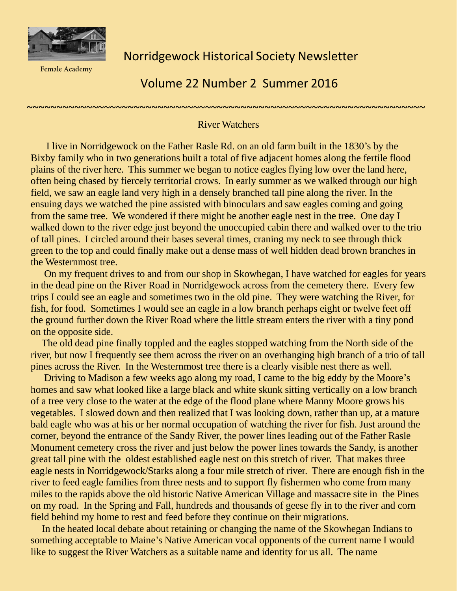

**Female Academy** 

Norridgewock Historical Society Newsletter

## Volume 22 Number 2 Summer 2016

## ~~~~~~~~~~~~~~~~~~~~~~~~~~~~~~~~~~~~~~~~~~~~~~~~~~~~~~~~~~~~~~~~~~~ River Watchers

I live in Norridgewock on the Father Rasle Rd. on an old farm built in the 1830's by the Bixby family who in two generations built a total of five adjacent homes along the fertile flood plains of the river here. This summer we began to notice eagles flying low over the land here, often being chased by fiercely territorial crows. In early summer as we walked through our high field, we saw an eagle land very high in a densely branched tall pine along the river. In the ensuing days we watched the pine assisted with binoculars and saw eagles coming and going from the same tree. We wondered if there might be another eagle nest in the tree. One day I walked down to the river edge just beyond the unoccupied cabin there and walked over to the trio of tall pines. I circled around their bases several times, craning my neck to see through thick green to the top and could finally make out a dense mass of well hidden dead brown branches in the Westernmost tree.

On my frequent drives to and from our shop in Skowhegan, I have watched for eagles for years in the dead pine on the River Road in Norridgewock across from the cemetery there. Every few trips I could see an eagle and sometimes two in the old pine. They were watching the River, for fish, for food. Sometimes I would see an eagle in a low branch perhaps eight or twelve feet off the ground further down the River Road where the little stream enters the river with a tiny pond on the opposite side.

The old dead pine finally toppled and the eagles stopped watching from the North side of the river, but now I frequently see them across the river on an overhanging high branch of a trio of tall pines across the River. In the Westernmost tree there is a clearly visible nest there as well.

Driving to Madison a few weeks ago along my road, I came to the big eddy by the Moore's homes and saw what looked like a large black and white skunk sitting vertically on a low branch of a tree very close to the water at the edge of the flood plane where Manny Moore grows his vegetables. I slowed down and then realized that I was looking down, rather than up, at a mature bald eagle who was at his or her normal occupation of watching the river for fish. Just around the corner, beyond the entrance of the Sandy River, the power lines leading out of the Father Rasle Monument cemetery cross the river and just below the power lines towards the Sandy, is another great tall pine with the oldest established eagle nest on this stretch of river. That makes three eagle nests in Norridgewock/Starks along a four mile stretch of river. There are enough fish in the river to feed eagle families from three nests and to support fly fishermen who come from many miles to the rapids above the old historic Native American Village and massacre site in the Pines on my road. In the Spring and Fall, hundreds and thousands of geese fly in to the river and corn field behind my home to rest and feed before they continue on their migrations.

In the heated local debate about retaining or changing the name of the Skowhegan Indians to something acceptable to Maine's Native American vocal opponents of the current name I would like to suggest the River Watchers as a suitable name and identity for us all. The name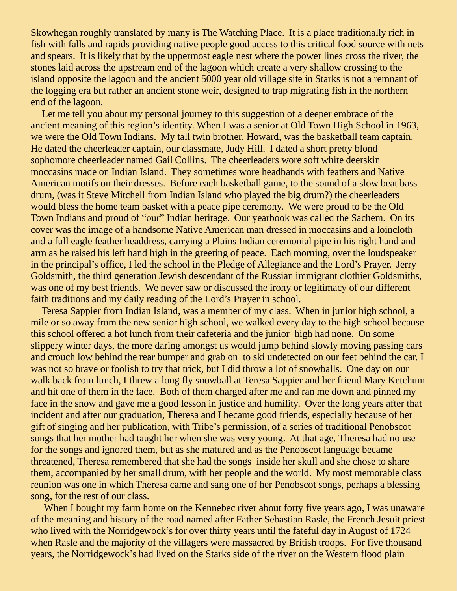Skowhegan roughly translated by many is The Watching Place. It is a place traditionally rich in fish with falls and rapids providing native people good access to this critical food source with nets and spears. It is likely that by the uppermost eagle nest where the power lines cross the river, the stones laid across the upstream end of the lagoon which create a very shallow crossing to the island opposite the lagoon and the ancient 5000 year old village site in Starks is not a remnant of the logging era but rather an ancient stone weir, designed to trap migrating fish in the northern end of the lagoon.

Let me tell you about my personal journey to this suggestion of a deeper embrace of the ancient meaning of this region's identity. When I was a senior at Old Town High School in 1963, we were the Old Town Indians. My tall twin brother, Howard, was the basketball team captain. He dated the cheerleader captain, our classmate, Judy Hill. I dated a short pretty blond sophomore cheerleader named Gail Collins. The cheerleaders wore soft white deerskin moccasins made on Indian Island. They sometimes wore headbands with feathers and Native American motifs on their dresses. Before each basketball game, to the sound of a slow beat bass drum, (was it Steve Mitchell from Indian Island who played the big drum?) the cheerleaders would bless the home team basket with a peace pipe ceremony. We were proud to be the Old Town Indians and proud of "our" Indian heritage. Our yearbook was called the Sachem. On its cover was the image of a handsome Native American man dressed in moccasins and a loincloth and a full eagle feather headdress, carrying a Plains Indian ceremonial pipe in his right hand and arm as he raised his left hand high in the greeting of peace. Each morning, over the loudspeaker in the principal's office, I led the school in the Pledge of Allegiance and the Lord's Prayer. Jerry Goldsmith, the third generation Jewish descendant of the Russian immigrant clothier Goldsmiths, was one of my best friends. We never saw or discussed the irony or legitimacy of our different faith traditions and my daily reading of the Lord's Prayer in school.

Teresa Sappier from Indian Island, was a member of my class. When in junior high school, a mile or so away from the new senior high school, we walked every day to the high school because this school offered a hot lunch from their cafeteria and the junior high had none. On some slippery winter days, the more daring amongst us would jump behind slowly moving passing cars and crouch low behind the rear bumper and grab on to ski undetected on our feet behind the car. I was not so brave or foolish to try that trick, but I did throw a lot of snowballs. One day on our walk back from lunch, I threw a long fly snowball at Teresa Sappier and her friend Mary Ketchum and hit one of them in the face. Both of them charged after me and ran me down and pinned my face in the snow and gave me a good lesson in justice and humility. Over the long years after that incident and after our graduation, Theresa and I became good friends, especially because of her gift of singing and her publication, with Tribe's permission, of a series of traditional Penobscot songs that her mother had taught her when she was very young. At that age, Theresa had no use for the songs and ignored them, but as she matured and as the Penobscot language became threatened, Theresa remembered that she had the songs inside her skull and she chose to share them, accompanied by her small drum, with her people and the world. My most memorable class reunion was one in which Theresa came and sang one of her Penobscot songs, perhaps a blessing song, for the rest of our class.

When I bought my farm home on the Kennebec river about forty five years ago, I was unaware of the meaning and history of the road named after Father Sebastian Rasle, the French Jesuit priest who lived with the Norridgewock's for over thirty years until the fateful day in August of 1724 when Rasle and the majority of the villagers were massacred by British troops. For five thousand years, the Norridgewock's had lived on the Starks side of the river on the Western flood plain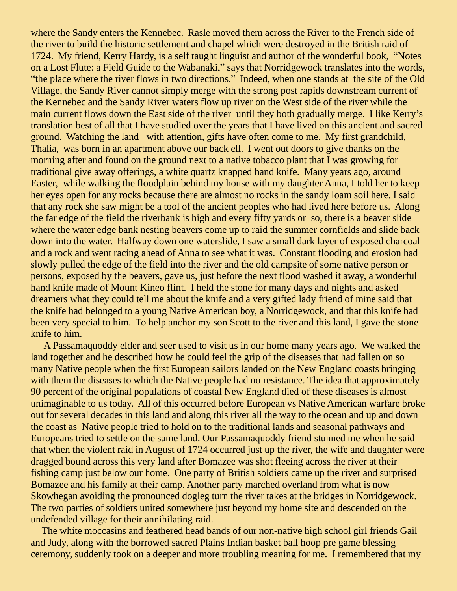where the Sandy enters the Kennebec. Rasle moved them across the River to the French side of the river to build the historic settlement and chapel which were destroyed in the British raid of 1724. My friend, Kerry Hardy, is a self taught linguist and author of the wonderful book, "Notes on a Lost Flute: a Field Guide to the Wabanaki," says that Norridgewock translates into the words, "the place where the river flows in two directions." Indeed, when one stands at the site of the Old Village, the Sandy River cannot simply merge with the strong post rapids downstream current of the Kennebec and the Sandy River waters flow up river on the West side of the river while the main current flows down the East side of the river until they both gradually merge. I like Kerry's translation best of all that I have studied over the years that I have lived on this ancient and sacred ground. Watching the land with attention, gifts have often come to me. My first grandchild, Thalia, was born in an apartment above our back ell. I went out doors to give thanks on the morning after and found on the ground next to a native tobacco plant that I was growing for traditional give away offerings, a white quartz knapped hand knife. Many years ago, around Easter, while walking the floodplain behind my house with my daughter Anna, I told her to keep her eyes open for any rocks because there are almost no rocks in the sandy loam soil here. I said that any rock she saw might be a tool of the ancient peoples who had lived here before us. Along the far edge of the field the riverbank is high and every fifty yards or so, there is a beaver slide where the water edge bank nesting beavers come up to raid the summer cornfields and slide back down into the water. Halfway down one waterslide, I saw a small dark layer of exposed charcoal and a rock and went racing ahead of Anna to see what it was. Constant flooding and erosion had slowly pulled the edge of the field into the river and the old campsite of some native person or persons, exposed by the beavers, gave us, just before the next flood washed it away, a wonderful hand knife made of Mount Kineo flint. I held the stone for many days and nights and asked dreamers what they could tell me about the knife and a very gifted lady friend of mine said that the knife had belonged to a young Native American boy, a Norridgewock, and that this knife had been very special to him. To help anchor my son Scott to the river and this land, I gave the stone knife to him.

A Passamaquoddy elder and seer used to visit us in our home many years ago. We walked the land together and he described how he could feel the grip of the diseases that had fallen on so many Native people when the first European sailors landed on the New England coasts bringing with them the diseases to which the Native people had no resistance. The idea that approximately 90 percent of the original populations of coastal New England died of these diseases is almost unimaginable to us today. All of this occurred before European vs Native American warfare broke out for several decades in this land and along this river all the way to the ocean and up and down the coast as Native people tried to hold on to the traditional lands and seasonal pathways and Europeans tried to settle on the same land. Our Passamaquoddy friend stunned me when he said that when the violent raid in August of 1724 occurred just up the river, the wife and daughter were dragged bound across this very land after Bomazee was shot fleeing across the river at their fishing camp just below our home. One party of British soldiers came up the river and surprised Bomazee and his family at their camp. Another party marched overland from what is now Skowhegan avoiding the pronounced dogleg turn the river takes at the bridges in Norridgewock. The two parties of soldiers united somewhere just beyond my home site and descended on the undefended village for their annihilating raid.

The white moccasins and feathered head bands of our non-native high school girl friends Gail and Judy, along with the borrowed sacred Plains Indian basket ball hoop pre game blessing ceremony, suddenly took on a deeper and more troubling meaning for me. I remembered that my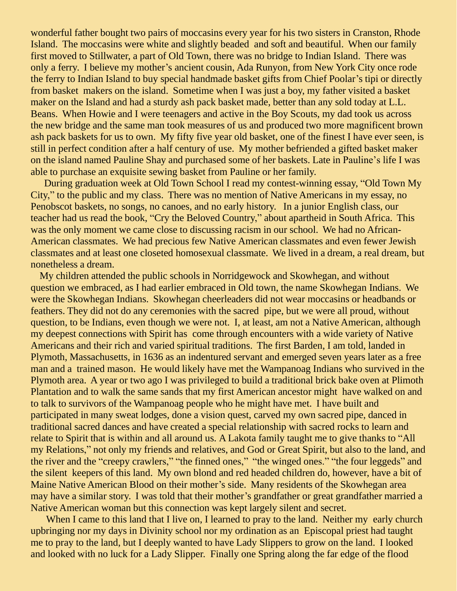wonderful father bought two pairs of moccasins every year for his two sisters in Cranston, Rhode Island. The moccasins were white and slightly beaded and soft and beautiful. When our family first moved to Stillwater, a part of Old Town, there was no bridge to Indian Island. There was only a ferry. I believe my mother's ancient cousin, Ada Runyon, from New York City once rode the ferry to Indian Island to buy special handmade basket gifts from Chief Poolar's tipi or directly from basket makers on the island. Sometime when I was just a boy, my father visited a basket maker on the Island and had a sturdy ash pack basket made, better than any sold today at L.L. Beans. When Howie and I were teenagers and active in the Boy Scouts, my dad took us across the new bridge and the same man took measures of us and produced two more magnificent brown ash pack baskets for us to own. My fifty five year old basket, one of the finest I have ever seen, is still in perfect condition after a half century of use. My mother befriended a gifted basket maker on the island named Pauline Shay and purchased some of her baskets. Late in Pauline's life I was able to purchase an exquisite sewing basket from Pauline or her family.

During graduation week at Old Town School I read my contest-winning essay, "Old Town My City," to the public and my class. There was no mention of Native Americans in my essay, no Penobscot baskets, no songs, no canoes, and no early history. In a junior English class, our teacher had us read the book, "Cry the Beloved Country," about apartheid in South Africa. This was the only moment we came close to discussing racism in our school. We had no African-American classmates. We had precious few Native American classmates and even fewer Jewish classmates and at least one closeted homosexual classmate. We lived in a dream, a real dream, but nonetheless a dream.

My children attended the public schools in Norridgewock and Skowhegan, and without question we embraced, as I had earlier embraced in Old town, the name Skowhegan Indians. We were the Skowhegan Indians. Skowhegan cheerleaders did not wear moccasins or headbands or feathers. They did not do any ceremonies with the sacred pipe, but we were all proud, without question, to be Indians, even though we were not. I, at least, am not a Native American, although my deepest connections with Spirit has come through encounters with a wide variety of Native Americans and their rich and varied spiritual traditions. The first Barden, I am told, landed in Plymoth, Massachusetts, in 1636 as an indentured servant and emerged seven years later as a free man and a trained mason. He would likely have met the Wampanoag Indians who survived in the Plymoth area. A year or two ago I was privileged to build a traditional brick bake oven at Plimoth Plantation and to walk the same sands that my first American ancestor might have walked on and to talk to survivors of the Wampanoag people who he might have met. I have built and participated in many sweat lodges, done a vision quest, carved my own sacred pipe, danced in traditional sacred dances and have created a special relationship with sacred rocks to learn and relate to Spirit that is within and all around us. A Lakota family taught me to give thanks to "All my Relations," not only my friends and relatives, and God or Great Spirit, but also to the land, and the river and the "creepy crawlers," "the finned ones," "the winged ones." "the four leggeds" and the silent keepers of this land. My own blond and red headed children do, however, have a bit of Maine Native American Blood on their mother's side. Many residents of the Skowhegan area may have a similar story. I was told that their mother's grandfather or great grandfather married a Native American woman but this connection was kept largely silent and secret.

When I came to this land that I live on, I learned to pray to the land. Neither my early church upbringing nor my days in Divinity school nor my ordination as an Episcopal priest had taught me to pray to the land, but I deeply wanted to have Lady Slippers to grow on the land. I looked and looked with no luck for a Lady Slipper. Finally one Spring along the far edge of the flood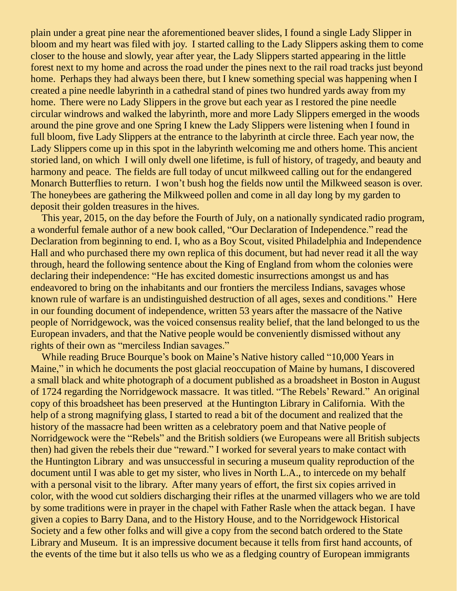plain under a great pine near the aforementioned beaver slides, I found a single Lady Slipper in bloom and my heart was filed with joy. I started calling to the Lady Slippers asking them to come closer to the house and slowly, year after year, the Lady Slippers started appearing in the little forest next to my home and across the road under the pines next to the rail road tracks just beyond home. Perhaps they had always been there, but I knew something special was happening when I created a pine needle labyrinth in a cathedral stand of pines two hundred yards away from my home. There were no Lady Slippers in the grove but each year as I restored the pine needle circular windrows and walked the labyrinth, more and more Lady Slippers emerged in the woods around the pine grove and one Spring I knew the Lady Slippers were listening when I found in full bloom, five Lady Slippers at the entrance to the labyrinth at circle three. Each year now, the Lady Slippers come up in this spot in the labyrinth welcoming me and others home. This ancient storied land, on which I will only dwell one lifetime, is full of history, of tragedy, and beauty and harmony and peace. The fields are full today of uncut milkweed calling out for the endangered Monarch Butterflies to return. I won't bush hog the fields now until the Milkweed season is over. The honeybees are gathering the Milkweed pollen and come in all day long by my garden to deposit their golden treasures in the hives.

This year, 2015, on the day before the Fourth of July, on a nationally syndicated radio program, a wonderful female author of a new book called, "Our Declaration of Independence." read the Declaration from beginning to end. I, who as a Boy Scout, visited Philadelphia and Independence Hall and who purchased there my own replica of this document, but had never read it all the way through, heard the following sentence about the King of England from whom the colonies were declaring their independence: "He has excited domestic insurrections amongst us and has endeavored to bring on the inhabitants and our frontiers the merciless Indians, savages whose known rule of warfare is an undistinguished destruction of all ages, sexes and conditions." Here in our founding document of independence, written 53 years after the massacre of the Native people of Norridgewock, was the voiced consensus reality belief, that the land belonged to us the European invaders, and that the Native people would be conveniently dismissed without any rights of their own as "merciless Indian savages."

While reading Bruce Bourque's book on Maine's Native history called "10,000 Years in Maine," in which he documents the post glacial reoccupation of Maine by humans, I discovered a small black and white photograph of a document published as a broadsheet in Boston in August of 1724 regarding the Norridgewock massacre. It was titled. "The Rebels' Reward." An original copy of this broadsheet has been preserved at the Huntington Library in California. With the help of a strong magnifying glass, I started to read a bit of the document and realized that the history of the massacre had been written as a celebratory poem and that Native people of Norridgewock were the "Rebels" and the British soldiers (we Europeans were all British subjects then) had given the rebels their due "reward." I worked for several years to make contact with the Huntington Library and was unsuccessful in securing a museum quality reproduction of the document until I was able to get my sister, who lives in North L.A., to intercede on my behalf with a personal visit to the library. After many years of effort, the first six copies arrived in color, with the wood cut soldiers discharging their rifles at the unarmed villagers who we are told by some traditions were in prayer in the chapel with Father Rasle when the attack began. I have given a copies to Barry Dana, and to the History House, and to the Norridgewock Historical Society and a few other folks and will give a copy from the second batch ordered to the State Library and Museum. It is an impressive document because it tells from first hand accounts, of the events of the time but it also tells us who we as a fledging country of European immigrants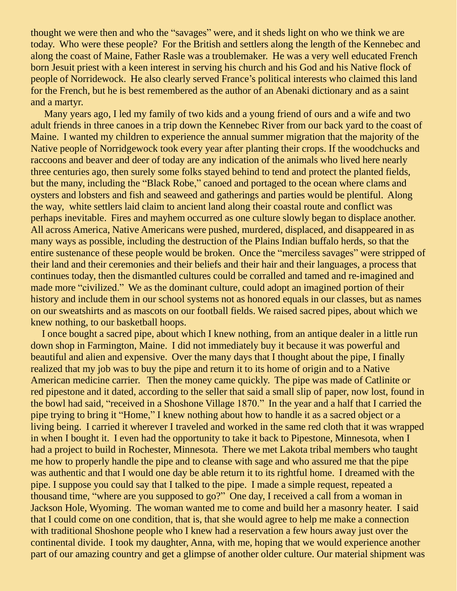thought we were then and who the "savages" were, and it sheds light on who we think we are today. Who were these people? For the British and settlers along the length of the Kennebec and along the coast of Maine, Father Rasle was a troublemaker. He was a very well educated French born Jesuit priest with a keen interest in serving his church and his God and his Native flock of people of Norridewock. He also clearly served France's political interests who claimed this land for the French, but he is best remembered as the author of an Abenaki dictionary and as a saint and a martyr.

Many years ago, I led my family of two kids and a young friend of ours and a wife and two adult friends in three canoes in a trip down the Kennebec River from our back yard to the coast of Maine. I wanted my children to experience the annual summer migration that the majority of the Native people of Norridgewock took every year after planting their crops. If the woodchucks and raccoons and beaver and deer of today are any indication of the animals who lived here nearly three centuries ago, then surely some folks stayed behind to tend and protect the planted fields, but the many, including the "Black Robe," canoed and portaged to the ocean where clams and oysters and lobsters and fish and seaweed and gatherings and parties would be plentiful. Along the way, white settlers laid claim to ancient land along their coastal route and conflict was perhaps inevitable. Fires and mayhem occurred as one culture slowly began to displace another. All across America, Native Americans were pushed, murdered, displaced, and disappeared in as many ways as possible, including the destruction of the Plains Indian buffalo herds, so that the entire sustenance of these people would be broken. Once the "merciless savages" were stripped of their land and their ceremonies and their beliefs and their hair and their languages, a process that continues today, then the dismantled cultures could be corralled and tamed and re-imagined and made more "civilized." We as the dominant culture, could adopt an imagined portion of their history and include them in our school systems not as honored equals in our classes, but as names on our sweatshirts and as mascots on our football fields. We raised sacred pipes, about which we knew nothing, to our basketball hoops.

I once bought a sacred pipe, about which I knew nothing, from an antique dealer in a little run down shop in Farmington, Maine. I did not immediately buy it because it was powerful and beautiful and alien and expensive. Over the many days that I thought about the pipe, I finally realized that my job was to buy the pipe and return it to its home of origin and to a Native American medicine carrier. Then the money came quickly. The pipe was made of Catlinite or red pipestone and it dated, according to the seller that said a small slip of paper, now lost, found in the bowl had said, "received in a Shoshone Village 1870." In the year and a half that I carried the pipe trying to bring it "Home," I knew nothing about how to handle it as a sacred object or a living being. I carried it wherever I traveled and worked in the same red cloth that it was wrapped in when I bought it. I even had the opportunity to take it back to Pipestone, Minnesota, when I had a project to build in Rochester, Minnesota. There we met Lakota tribal members who taught me how to properly handle the pipe and to cleanse with sage and who assured me that the pipe was authentic and that I would one day be able return it to its rightful home. I dreamed with the pipe. I suppose you could say that I talked to the pipe. I made a simple request, repeated a thousand time, "where are you supposed to go?" One day, I received a call from a woman in Jackson Hole, Wyoming. The woman wanted me to come and build her a masonry heater. I said that I could come on one condition, that is, that she would agree to help me make a connection with traditional Shoshone people who I knew had a reservation a few hours away just over the continental divide. I took my daughter, Anna, with me, hoping that we would experience another part of our amazing country and get a glimpse of another older culture. Our material shipment was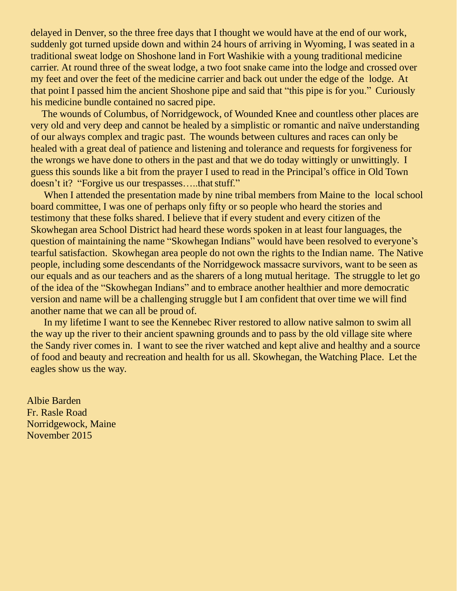delayed in Denver, so the three free days that I thought we would have at the end of our work, suddenly got turned upside down and within 24 hours of arriving in Wyoming, I was seated in a traditional sweat lodge on Shoshone land in Fort Washikie with a young traditional medicine carrier. At round three of the sweat lodge, a two foot snake came into the lodge and crossed over my feet and over the feet of the medicine carrier and back out under the edge of the lodge. At that point I passed him the ancient Shoshone pipe and said that "this pipe is for you." Curiously his medicine bundle contained no sacred pipe.

The wounds of Columbus, of Norridgewock, of Wounded Knee and countless other places are very old and very deep and cannot be healed by a simplistic or romantic and naïve understanding of our always complex and tragic past. The wounds between cultures and races can only be healed with a great deal of patience and listening and tolerance and requests for forgiveness for the wrongs we have done to others in the past and that we do today wittingly or unwittingly. I guess this sounds like a bit from the prayer I used to read in the Principal's office in Old Town doesn't it? "Forgive us our trespasses.....that stuff."

When I attended the presentation made by nine tribal members from Maine to the local school board committee, I was one of perhaps only fifty or so people who heard the stories and testimony that these folks shared. I believe that if every student and every citizen of the Skowhegan area School District had heard these words spoken in at least four languages, the question of maintaining the name "Skowhegan Indians" would have been resolved to everyone's tearful satisfaction. Skowhegan area people do not own the rights to the Indian name. The Native people, including some descendants of the Norridgewock massacre survivors, want to be seen as our equals and as our teachers and as the sharers of a long mutual heritage. The struggle to let go of the idea of the "Skowhegan Indians" and to embrace another healthier and more democratic version and name will be a challenging struggle but I am confident that over time we will find another name that we can all be proud of.

In my lifetime I want to see the Kennebec River restored to allow native salmon to swim all the way up the river to their ancient spawning grounds and to pass by the old village site where the Sandy river comes in. I want to see the river watched and kept alive and healthy and a source of food and beauty and recreation and health for us all. Skowhegan, the Watching Place. Let the eagles show us the way.

Albie Barden Fr. Rasle Road Norridgewock, Maine November 2015